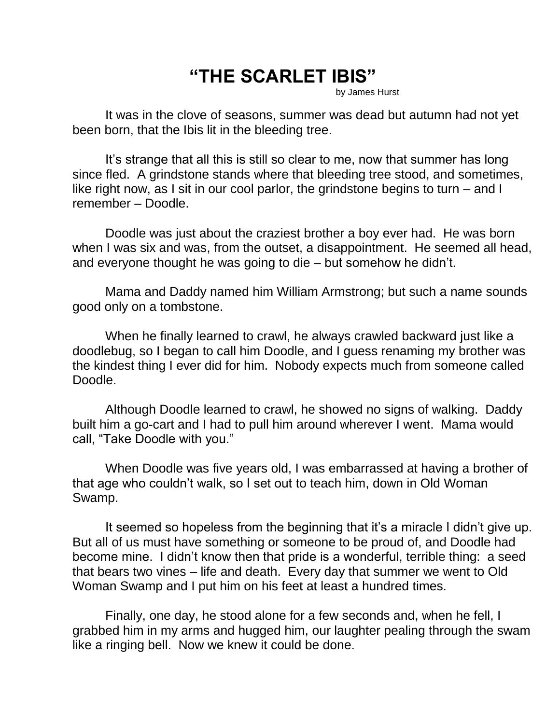## **"THE SCARLET IBIS"**

by James Hurst

It was in the clove of seasons, summer was dead but autumn had not yet been born, that the Ibis lit in the bleeding tree.

It's strange that all this is still so clear to me, now that summer has long since fled. A grindstone stands where that bleeding tree stood, and sometimes, like right now, as I sit in our cool parlor, the grindstone begins to turn – and I remember – Doodle.

Doodle was just about the craziest brother a boy ever had. He was born when I was six and was, from the outset, a disappointment. He seemed all head, and everyone thought he was going to die – but somehow he didn't.

Mama and Daddy named him William Armstrong; but such a name sounds good only on a tombstone.

When he finally learned to crawl, he always crawled backward just like a doodlebug, so I began to call him Doodle, and I guess renaming my brother was the kindest thing I ever did for him. Nobody expects much from someone called Doodle.

Although Doodle learned to crawl, he showed no signs of walking. Daddy built him a go-cart and I had to pull him around wherever I went. Mama would call, "Take Doodle with you."

When Doodle was five years old, I was embarrassed at having a brother of that age who couldn't walk, so I set out to teach him, down in Old Woman Swamp.

It seemed so hopeless from the beginning that it's a miracle I didn't give up. But all of us must have something or someone to be proud of, and Doodle had become mine. I didn't know then that pride is a wonderful, terrible thing: a seed that bears two vines – life and death. Every day that summer we went to Old Woman Swamp and I put him on his feet at least a hundred times.

Finally, one day, he stood alone for a few seconds and, when he fell, I grabbed him in my arms and hugged him, our laughter pealing through the swam like a ringing bell. Now we knew it could be done.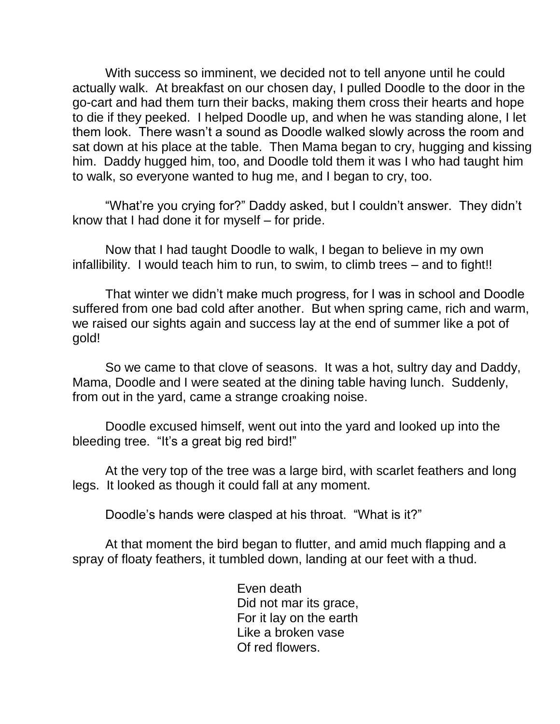With success so imminent, we decided not to tell anyone until he could actually walk. At breakfast on our chosen day, I pulled Doodle to the door in the go-cart and had them turn their backs, making them cross their hearts and hope to die if they peeked. I helped Doodle up, and when he was standing alone, I let them look. There wasn't a sound as Doodle walked slowly across the room and sat down at his place at the table. Then Mama began to cry, hugging and kissing him. Daddy hugged him, too, and Doodle told them it was I who had taught him to walk, so everyone wanted to hug me, and I began to cry, too.

"What're you crying for?" Daddy asked, but I couldn't answer. They didn't know that I had done it for myself – for pride.

Now that I had taught Doodle to walk, I began to believe in my own infallibility. I would teach him to run, to swim, to climb trees – and to fight!!

That winter we didn't make much progress, for I was in school and Doodle suffered from one bad cold after another. But when spring came, rich and warm, we raised our sights again and success lay at the end of summer like a pot of gold!

So we came to that clove of seasons. It was a hot, sultry day and Daddy, Mama, Doodle and I were seated at the dining table having lunch. Suddenly, from out in the yard, came a strange croaking noise.

Doodle excused himself, went out into the yard and looked up into the bleeding tree. "It's a great big red bird!"

At the very top of the tree was a large bird, with scarlet feathers and long legs. It looked as though it could fall at any moment.

Doodle's hands were clasped at his throat. "What is it?"

At that moment the bird began to flutter, and amid much flapping and a spray of floaty feathers, it tumbled down, landing at our feet with a thud.

> Even death Did not mar its grace, For it lay on the earth Like a broken vase Of red flowers.